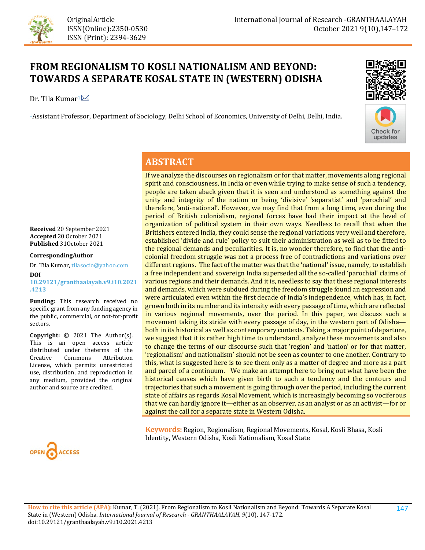

# **FROM REGIONALISM TO KOSLI NATIONALISM AND BEYOND: TOWARDS A SEPARATE KOSAL STATE IN (WESTERN) ODISHA**

Dr. Tila Kumar<sup>1 $\boxtimes$ </sup>

1Assistant Professor, Department of Sociology, Delhi School of Economics, University of Delhi, Delhi, India.





## **ABSTRACT**

**Received** 20 September 2021 **Accepted** 20 October 2021 **Published** 31October 2021

**CorrespondingAuthor**

Dr. Tila Kumar, tilasocio@yahoo.com **DOI [10.29121/granthaalayah.v9.i10.2021](https://dx.doi.org/10.29121/granthaalayah.v9.i10.2021.4213) [.4213](https://dx.doi.org/10.29121/granthaalayah.v9.i10.2021.4213)**

**Funding:** This research received no specific grant from any funding agency in the public, commercial, or not-for-profit sectors.

**Copyright:** © 2021 The Author(s). This is an open access article distributed under theterms of the<br>Creative Commons Attribution Attribution License, which permits unrestricted use, distribution, and reproduction in any medium, provided the original author and source are credited.



If we analyze the discourses on regionalism or for that matter, movements along regional spirit and consciousness, in India or even while trying to make sense of such a tendency, people are taken aback given that it is seen and understood as something against the unity and integrity of the nation or being 'divisive' 'separatist' and 'parochial' and therefore, 'anti-national'. However, we may find that from a long time, even during the period of British colonialism, regional forces have had their impact at the level of organization of political system in their own ways. Needless to recall that when the Britishers entered India, they could sense the regional variations very well and therefore, established 'divide and rule' policy to suit their administration as well as to be fitted to the regional demands and peculiarities. It is, no wonder therefore, to find that the anticolonial freedom struggle was not a process free of contradictions and variations over different regions. The fact of the matter was that the 'national' issue, namely, to establish a free independent and sovereign India superseded all the so-called 'parochial' claims of various regions and their demands. And it is, needless to say that these regional interests and demands, which were subdued during the freedom struggle found an expression and were articulated even within the first decade of India's independence, which has, in fact, grown both in its number and its intensity with every passage of time, which are reflected in various regional movements, over the period. In this paper, we discuss such a movement taking its stride with every passage of day, in the western part of Odisha both in its historical as well as contemporary contexts. Taking a major point of departure, we suggest that it is rather high time to understand, analyze these movements and also to change the terms of our discourse such that 'region' and 'nation' or for that matter, 'regionalism' and nationalism' should not be seen as counter to one another. Contrary to this, what is suggested here is to see them only as a matter of degree and more as a part and parcel of a continuum. We make an attempt here to bring out what have been the historical causes which have given birth to such a tendency and the contours and trajectories that such a movement is going through over the period, including the current state of affairs as regards Kosal Movement, which is increasingly becoming so vociferous that we can hardly ignore it—either as an observer, as an analyst or as an activist—for or against the call for a separate state in Western Odisha.

**Keywords:** Region, Regionalism, Regional Movements, Kosal, Kosli Bhasa, Kosli Identity, Western Odisha, Kosli Nationalism, Kosal State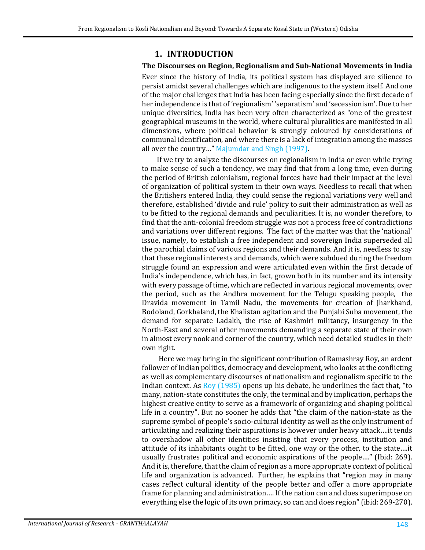## **1. INTRODUCTION**

### **The Discourses on Region, Regionalism and Sub-National Movements in India**

Ever since the history of India, its political system has displayed are silience to persist amidst several challenges which are indigenous to the system itself. And one of the major challenges that India has been facing especially since the first decade of her independence is that of 'regionalism' 'separatism' and 'secessionism'. Due to her unique diversities, India has been very often characterized as "one of the greatest geographical museums in the world, where cultural pluralities are manifested in all dimensions, where political behavior is strongly coloured by considerations of communal identification, and where there is a lack of integration among the masses all over the country…" [Majumdar and Singh \(1997\).](#page-19-0) 

If we try to analyze the discourses on regionalism in India or even while trying to make sense of such a tendency, we may find that from a long time, even during the period of British colonialism, regional forces have had their impact at the level of organization of political system in their own ways. Needless to recall that when the Britishers entered India, they could sense the regional variations very well and therefore, established 'divide and rule' policy to suit their administration as well as to be fitted to the regional demands and peculiarities. It is, no wonder therefore, to find that the anti-colonial freedom struggle was not a process free of contradictions and variations over different regions. The fact of the matter was that the 'national' issue, namely, to establish a free independent and sovereign India superseded all the parochial claims of various regions and their demands. And it is, needless to say that these regional interests and demands, which were subdued during the freedom struggle found an expression and were articulated even within the first decade of India's independence, which has, in fact, grown both in its number and its intensity with every passage of time, which are reflected in various regional movements, over the period, such as the Andhra movement for the Telugu speaking people, the Dravida movement in Tamil Nadu, the movements for creation of Jharkhand, Bodoland, Gorkhaland, the Khalistan agitation and the Punjabi Suba movement, the demand for separate Ladakh, the rise of Kashmiri militancy, insurgency in the North-East and several other movements demanding a separate state of their own in almost every nook and corner of the country, which need detailed studies in their own right.

Here we may bring in the significant contribution of Ramashray Roy, an ardent follower of Indian politics, democracy and development, who looks at the conflicting as well as complementary discourses of nationalism and regionalism specific to the Indian context. As [Roy \(1985\)](#page-22-0) opens up his debate, he underlines the fact that, "to many, nation-state constitutes the only, the terminal and by implication, perhaps the highest creative entity to serve as a framework of organizing and shaping political life in a country". But no sooner he adds that "the claim of the nation-state as the supreme symbol of people's socio-cultural identity as well as the only instrument of articulating and realizing their aspirations is however under heavy attack….it tends to overshadow all other identities insisting that every process, institution and attitude of its inhabitants ought to be fitted, one way or the other, to the state….it usually frustrates political and economic aspirations of the people…." (Ibid: 269). And it is, therefore, that the claim of region as a more appropriate context of political life and organization is advanced. Further, he explains that "region may in many cases reflect cultural identity of the people better and offer a more appropriate frame for planning and administration…. If the nation can and does superimpose on everything else the logic of its own primacy, so can and does region" (ibid: 269-270).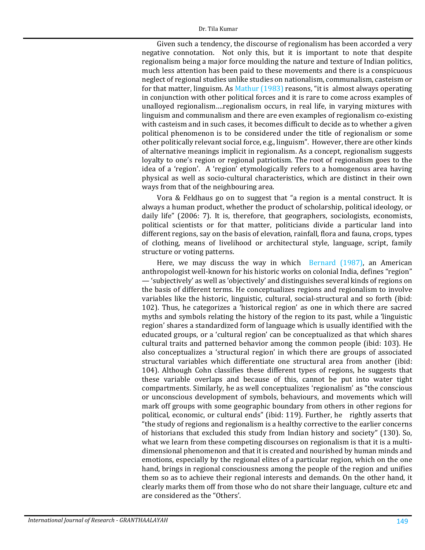Given such a tendency, the discourse of regionalism has been accorded a very negative connotation. Not only this, but it is important to note that despite regionalism being a major force moulding the nature and texture of Indian politics, much less attention has been paid to these movements and there is a conspicuous neglect of regional studies unlike studies on nationalism, communalism, casteism or for that matter, linguism. A[s Mathur \(1983\)](#page-19-1) reasons, "it is almost always operating in conjunction with other political forces and it is rare to come across examples of unalloyed regionalism….regionalism occurs, in real life, in varying mixtures with linguism and communalism and there are even examples of regionalism co-existing with casteism and in such cases, it becomes difficult to decide as to whether a given political phenomenon is to be considered under the title of regionalism or some other politically relevant social force, e.g., linguism". However, there are other kinds of alternative meanings implicit in regionalism. As a concept, regionalism suggests loyalty to one's region or regional patriotism. The root of regionalism goes to the idea of a 'region'. A 'region' etymologically refers to a homogenous area having physical as well as socio-cultural characteristics, which are distinct in their own ways from that of the neighbouring area.

Vora & Feldhaus go on to suggest that "a region is a mental construct. It is always a human product, whether the product of scholarship, political ideology, or daily life" (2006: 7). It is, therefore, that geographers, sociologists, economists, political scientists or for that matter, politicians divide a particular land into different regions, say on the basis of elevation, rainfall, flora and fauna, crops, types of clothing, means of livelihood or architectural style, language, script, family structure or voting patterns.

Here, we may discuss the way in which [Bernard \(1987\),](#page-16-0) an American anthropologist well-known for his historic works on colonial India, defines "region" — 'subjectively' as well as 'objectively' and distinguishes several kinds of regions on the basis of different terms. He conceptualizes regions and regionalism to involve variables like the historic, linguistic, cultural, social-structural and so forth (ibid: 102). Thus, he categorizes a 'historical region' as one in which there are sacred myths and symbols relating the history of the region to its past, while a 'linguistic region' shares a standardized form of language which is usually identified with the educated groups, or a 'cultural region' can be conceptualized as that which shares cultural traits and patterned behavior among the common people (ibid: 103). He also conceptualizes a 'structural region' in which there are groups of associated structural variables which differentiate one structural area from another (ibid: 104). Although Cohn classifies these different types of regions, he suggests that these variable overlaps and because of this, cannot be put into water tight compartments. Similarly, he as well conceptualizes 'regionalism' as "the conscious or unconscious development of symbols, behaviours, and movements which will mark off groups with some geographic boundary from others in other regions for political, economic, or cultural ends" (ibid: 119). Further, he rightly asserts that "the study of regions and regionalism is a healthy corrective to the earlier concerns of historians that excluded this study from Indian history and society" (130). So, what we learn from these competing discourses on regionalism is that it is a multidimensional phenomenon and that it is created and nourished by human minds and emotions, especially by the regional elites of a particular region, which on the one hand, brings in regional consciousness among the people of the region and unifies them so as to achieve their regional interests and demands. On the other hand, it clearly marks them off from those who do not share their language, culture etc and are considered as the "Others'.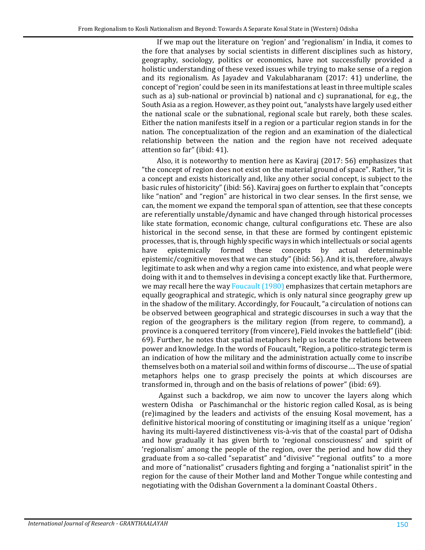If we map out the literature on 'region' and 'regionalism' in India, it comes to the fore that analyses by social scientists in different disciplines such as history, geography, sociology, politics or economics, have not successfully provided a holistic understanding of these vexed issues while trying to make sense of a region and its regionalism. As Jayadev and Vakulabharanam (2017: 41) underline, the concept of 'region' could be seen in its manifestations at least in three multiple scales such as a) sub-national or provincial b) national and c) supranational, for e.g., the South Asia as a region. However, as they point out, "analysts have largely used either the national scale or the subnational, regional scale but rarely, both these scales. Either the nation manifests itself in a region or a particular region stands in for the nation. The conceptualization of the region and an examination of the dialectical relationship between the nation and the region have not received adequate attention so far" (ibid: 41).

Also, it is noteworthy to mention here as Kaviraj (2017: 56) emphasizes that "the concept of region does not exist on the material ground of space". Rather, "it is a concept and exists historically and, like any other social concept, is subject to the basic rules of historicity" (ibid: 56). Kaviraj goes on further to explain that "concepts like "nation" and "region" are historical in two clear senses. In the first sense, we can, the moment we expand the temporal span of attention, see that these concepts are referentially unstable/dynamic and have changed through historical processes like state formation, economic change, cultural configurations etc. These are also historical in the second sense, in that these are formed by contingent epistemic processes, that is, through highly specific ways in which intellectuals or social agents<br>have epistemically formed these concepts by actual determinable have epistemically formed these concepts by actual determinable epistemic/cognitive moves that we can study" (ibid: 56). And it is, therefore, always legitimate to ask when and why a region came into existence, and what people were doing with it and to themselves in devising a concept exactly like that. Furthermore, we may recall here the way [Foucault \(1980\)](#page-17-0) emphasizes that certain metaphors are equally geographical and strategic, which is only natural since geography grew up in the shadow of the military. Accordingly, for Foucault, "a circulation of notions can be observed between geographical and strategic discourses in such a way that the region of the geographers is the military region (from regere, to command), a province is a conquered territory (from vincere), Field invokes the battlefield" (ibid: 69). Further, he notes that spatial metaphors help us locate the relations between power and knowledge. In the words of Foucault, "Region, a politico-strategic term is an indication of how the military and the administration actually come to inscribe themselves both on a material soil and within forms of discourse…. The use of spatial metaphors helps one to grasp precisely the points at which discourses are transformed in, through and on the basis of relations of power" (ibid: 69).

Against such a backdrop, we aim now to uncover the layers along which western Odisha or Paschimanchal or the historic region called Kosal, as is being (re)imagined by the leaders and activists of the ensuing Kosal movement, has a definitive historical mooring of constituting or imagining itself as a unique 'region' having its multi-layered distinctiveness vis-à-vis that of the coastal part of Odisha and how gradually it has given birth to 'regional consciousness' and spirit of 'regionalism' among the people of the region, over the period and how did they graduate from a so-called "separatist" and "divisive" "regional outfits" to a more and more of "nationalist" crusaders fighting and forging a "nationalist spirit" in the region for the cause of their Mother land and Mother Tongue while contesting and negotiating with the Odishan Government a la dominant Coastal Others .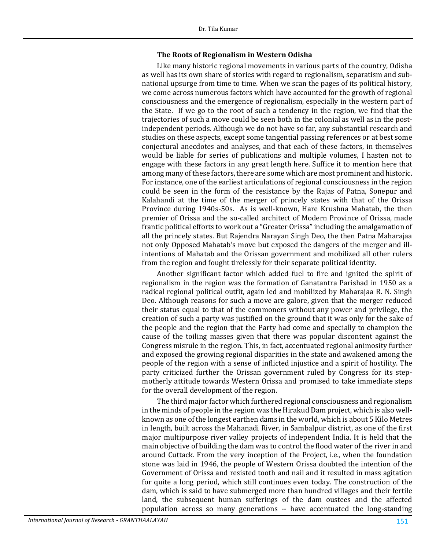#### **The Roots of Regionalism in Western Odisha**

Like many historic regional movements in various parts of the country, Odisha as well has its own share of stories with regard to regionalism, separatism and subnational upsurge from time to time. When we scan the pages of its political history, we come across numerous factors which have accounted for the growth of regional consciousness and the emergence of regionalism, especially in the western part of the State. If we go to the root of such a tendency in the region, we find that the trajectories of such a move could be seen both in the colonial as well as in the postindependent periods. Although we do not have so far, any substantial research and studies on these aspects, except some tangential passing references or at best some conjectural anecdotes and analyses, and that each of these factors, in themselves would be liable for series of publications and multiple volumes, I hasten not to engage with these factors in any great length here. Suffice it to mention here that among many of these factors, there are some which are most prominent and historic. For instance, one of the earliest articulations of regional consciousness in the region could be seen in the form of the resistance by the Rajas of Patna, Sonepur and Kalahandi at the time of the merger of princely states with that of the Orissa Province during 1940s-50s. As is well-known, Hare Krushna Mahatab, the then premier of Orissa and the so-called architect of Modern Province of Orissa, made frantic political efforts to work out a "Greater Orissa" including the amalgamation of all the princely states. But Rajendra Narayan Singh Deo, the then Patna Maharajaa not only Opposed Mahatab's move but exposed the dangers of the merger and illintentions of Mahatab and the Orissan government and mobilized all other rulers from the region and fought tirelessly for their separate political identity.

Another significant factor which added fuel to fire and ignited the spirit of regionalism in the region was the formation of Ganatantra Parishad in 1950 as a radical regional political outfit, again led and mobilized by Maharajaa R. N. Singh Deo. Although reasons for such a move are galore, given that the merger reduced their status equal to that of the commoners without any power and privilege, the creation of such a party was justified on the ground that it was only for the sake of the people and the region that the Party had come and specially to champion the cause of the toiling masses given that there was popular discontent against the Congress misrule in the region. This, in fact, accentuated regional animosity further and exposed the growing regional disparities in the state and awakened among the people of the region with a sense of inflicted injustice and a spirit of hostility. The party criticized further the Orissan government ruled by Congress for its stepmotherly attitude towards Western Orissa and promised to take immediate steps for the overall development of the region.

The third major factor which furthered regional consciousness and regionalism in the minds of people in the region was the Hirakud Dam project, which is also wellknown as one of the longest earthen dams in the world, which is about 5 Kilo Metres in length, built across the Mahanadi River, in Sambalpur district, as one of the first major multipurpose river valley projects of independent India. It is held that the main objective of building the dam was to control the flood water of the river in and around Cuttack. From the very inception of the Project, i.e., when the foundation stone was laid in 1946, the people of Western Orissa doubted the intention of the Government of Orissa and resisted tooth and nail and it resulted in mass agitation for quite a long period, which still continues even today. The construction of the dam, which is said to have submerged more than hundred villages and their fertile land, the subsequent human sufferings of the dam oustees and the affected population across so many generations -- have accentuated the long-standing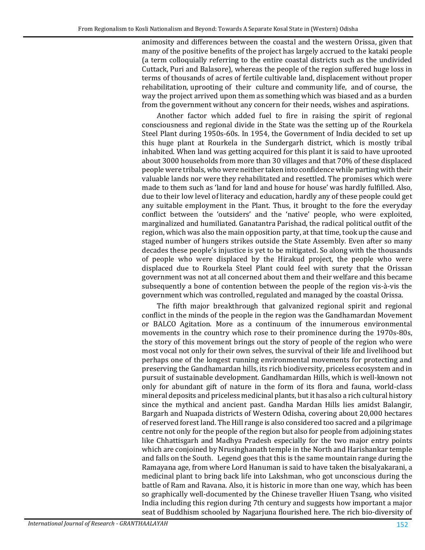animosity and differences between the coastal and the western Orissa, given that many of the positive benefits of the project has largely accrued to the kataki people (a term colloquially referring to the entire coastal districts such as the undivided Cuttack, Puri and Balasore), whereas the people of the region suffered huge loss in terms of thousands of acres of fertile cultivable land, displacement without proper rehabilitation, uprooting of their culture and community life, and of course, the way the project arrived upon them as something which was biased and as a burden from the government without any concern for their needs, wishes and aspirations.

Another factor which added fuel to fire in raising the spirit of regional consciousness and regional divide in the State was the setting up of the Rourkela Steel Plant during 1950s-60s. In 1954, the Government of India decided to set up this huge plant at Rourkela in the Sundergarh district, which is mostly tribal inhabited. When land was getting acquired for this plant it is said to have uprooted about 3000 households from more than 30 villages and that 70% of these displaced people were tribals, who were neither taken into confidence while parting with their valuable lands nor were they rehabilitated and resettled. The promises which were made to them such as 'land for land and house for house' was hardly fulfilled. Also, due to their low level of literacy and education, hardly any of these people could get any suitable employment in the Plant. Thus, it brought to the fore the everyday conflict between the 'outsiders' and the 'native' people, who were exploited, marginalized and humiliated. Ganatantra Parishad, the radical political outfit of the region, which was also the main opposition party, at that time, took up the cause and staged number of hungers strikes outside the State Assembly. Even after so many decades these people's injustice is yet to be mitigated. So along with the thousands of people who were displaced by the Hirakud project, the people who were displaced due to Rourkela Steel Plant could feel with surety that the Orissan government was not at all concerned about them and their welfare and this became subsequently a bone of contention between the people of the region vis-à-vis the government which was controlled, regulated and managed by the coastal Orissa.

The fifth major breakthrough that galvanized regional spirit and regional conflict in the minds of the people in the region was the Gandhamardan Movement or BALCO Agitation. More as a continuum of the innumerous environmental movements in the country which rose to their prominence during the 1970s-80s, the story of this movement brings out the story of people of the region who were most vocal not only for their own selves, the survival of their life and livelihood but perhaps one of the longest running environmental movements for protecting and preserving the Gandhamardan hills, its rich biodiversity, priceless ecosystem and in pursuit of sustainable development. Gandhamardan Hills, which is well-known not only for abundant gift of nature in the form of its flora and fauna, world-class mineral deposits and priceless medicinal plants, but it has also a rich cultural history since the mythical and ancient past. Gandha Mardan Hills lies amidst Balangir, Bargarh and Nuapada districts of Western Odisha, covering about 20,000 hectares of reserved forest land. The Hill range is also considered too sacred and a pilgrimage centre not only for the people of the region but also for people from adjoining states like Chhattisgarh and Madhya Pradesh especially for the two major entry points which are conjoined by Nrusinghanath temple in the North and Harishankar temple and falls on the South. Legend goes that this is the same mountain range during the Ramayana age, from where Lord Hanuman is said to have taken the bisalyakarani, a medicinal plant to bring back life into Lakshman, who got unconscious during the battle of Ram and Ravana. Also, it is historic in more than one way, which has been so graphically well-documented by the Chinese traveller Hiuen Tsang, who visited India including this region during 7th century and suggests how important a major seat of Buddhism schooled by Nagarjuna flourished here. The rich bio-diversity of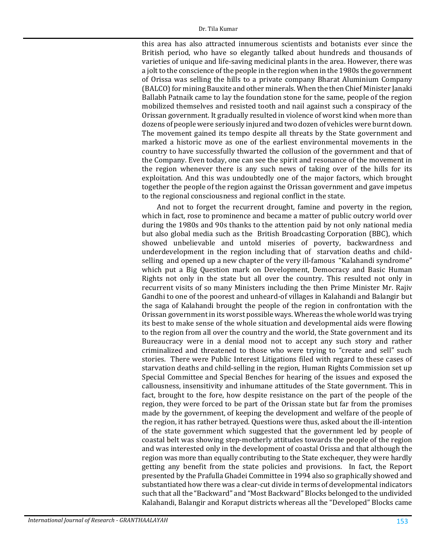this area has also attracted innumerous scientists and botanists ever since the British period, who have so elegantly talked about hundreds and thousands of varieties of unique and life-saving medicinal plants in the area. However, there was a jolt to the conscience of the people in the region when in the 1980s the government of Orissa was selling the hills to a private company Bharat Aluminium Company (BALCO) for mining Bauxite and other minerals. When the then Chief Minister Janaki Ballabh Patnaik came to lay the foundation stone for the same, people of the region mobilized themselves and resisted tooth and nail against such a conspiracy of the Orissan government. It gradually resulted in violence of worst kind when more than dozens of people were seriously injured and two dozen of vehicles were burnt down. The movement gained its tempo despite all threats by the State government and marked a historic move as one of the earliest environmental movements in the country to have successfully thwarted the collusion of the government and that of the Company. Even today, one can see the spirit and resonance of the movement in the region whenever there is any such news of taking over of the hills for its exploitation. And this was undoubtedly one of the major factors, which brought together the people of the region against the Orissan government and gave impetus to the regional consciousness and regional conflict in the state.

And not to forget the recurrent drought, famine and poverty in the region, which in fact, rose to prominence and became a matter of public outcry world over during the 1980s and 90s thanks to the attention paid by not only national media but also global media such as the British Broadcasting Corporation (BBC), which showed unbelievable and untold miseries of poverty, backwardness and underdevelopment in the region including that of starvation deaths and childselling and opened up a new chapter of the very ill-famous "Kalahandi syndrome" which put a Big Question mark on Development, Democracy and Basic Human Rights not only in the state but all over the country. This resulted not only in recurrent visits of so many Ministers including the then Prime Minister Mr. Rajiv Gandhi to one of the poorest and unheard-of villages in Kalahandi and Balangir but the saga of Kalahandi brought the people of the region in confrontation with the Orissan government in its worst possible ways. Whereas the whole world was trying its best to make sense of the whole situation and developmental aids were flowing to the region from all over the country and the world, the State government and its Bureaucracy were in a denial mood not to accept any such story and rather criminalized and threatened to those who were trying to "create and sell" such stories. There were Public Interest Litigations filed with regard to these cases of starvation deaths and child-selling in the region, Human Rights Commission set up Special Committee and Special Benches for hearing of the issues and exposed the callousness, insensitivity and inhumane attitudes of the State government. This in fact, brought to the fore, how despite resistance on the part of the people of the region, they were forced to be part of the Orissan state but far from the promises made by the government, of keeping the development and welfare of the people of the region, it has rather betrayed. Questions were thus, asked about the ill-intention of the state government which suggested that the government led by people of coastal belt was showing step-motherly attitudes towards the people of the region and was interested only in the development of coastal Orissa and that although the region was more than equally contributing to the State exchequer, they were hardly getting any benefit from the state policies and provisions. In fact, the Report presented by the Prafulla Ghadei Committee in 1994 also so graphically showed and substantiated how there was a clear-cut divide in terms of developmental indicators such that all the "Backward" and "Most Backward" Blocks belonged to the undivided Kalahandi, Balangir and Koraput districts whereas all the "Developed" Blocks came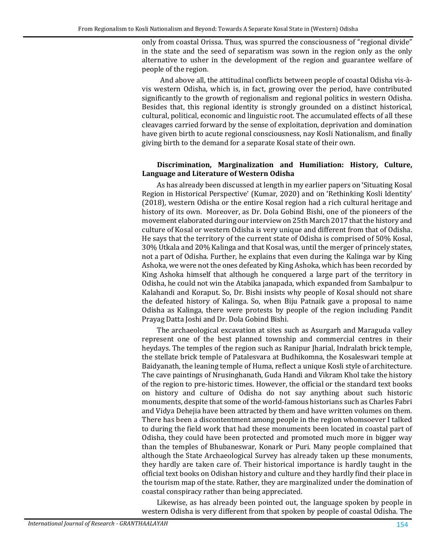only from coastal Orissa. Thus, was spurred the consciousness of "regional divide" in the state and the seed of separatism was sown in the region only as the only alternative to usher in the development of the region and guarantee welfare of people of the region.

 And above all, the attitudinal conflicts between people of coastal Odisha vis-àvis western Odisha, which is, in fact, growing over the period, have contributed significantly to the growth of regionalism and regional politics in western Odisha. Besides that, this regional identity is strongly grounded on a distinct historical, cultural, political, economic and linguistic root. The accumulated effects of all these cleavages carried forward by the sense of exploitation, deprivation and domination have given birth to acute regional consciousness, nay Kosli Nationalism, and finally giving birth to the demand for a separate Kosal state of their own.

#### **Discrimination, Marginalization and Humiliation: History, Culture, Language and Literature of Western Odisha**

As has already been discussed at length in my earlier papers on 'Situating Kosal Region in Historical Perspective' (Kumar, 2020) and on 'Rethinking Kosli Identity' (2018), western Odisha or the entire Kosal region had a rich cultural heritage and history of its own. Moreover, as Dr. Dola Gobind Bishi, one of the pioneers of the movement elaborated during our interview on 25th March 2017 that the history and culture of Kosal or western Odisha is very unique and different from that of Odisha. He says that the territory of the current state of Odisha is comprised of 50% Kosal, 30% Utkala and 20% Kalinga and that Kosal was, until the merger of princely states, not a part of Odisha. Further, he explains that even during the Kalinga war by King Ashoka, we were not the ones defeated by King Ashoka, which has been recorded by King Ashoka himself that although he conquered a large part of the territory in Odisha, he could not win the Atabika janapada, which expanded from Sambalpur to Kalahandi and Koraput. So, Dr. Bishi insists why people of Kosal should not share the defeated history of Kalinga. So, when Biju Patnaik gave a proposal to name Odisha as Kalinga, there were protests by people of the region including Pandit Prayag Datta Joshi and Dr. Dola Gobind Bishi.

The archaeological excavation at sites such as Asurgarh and Maraguda valley represent one of the best planned township and commercial centres in their heydays. The temples of the region such as Ranipur Jharial, Indralath brick temple, the stellate brick temple of Patalesvara at Budhikomna, the Kosaleswari temple at Baidyanath, the leaning temple of Huma, reflect a unique Kosli style of architecture. The cave paintings of Nrusinghanath, Guda Handi and Vikram Khol take the history of the region to pre-historic times. However, the official or the standard text books on history and culture of Odisha do not say anything about such historic monuments, despite that some of the world-famous historians such as Charles Fabri and Vidya Dehejia have been attracted by them and have written volumes on them. There has been a discontentment among people in the region whomsoever I talked to during the field work that had these monuments been located in coastal part of Odisha, they could have been protected and promoted much more in bigger way than the temples of Bhubaneswar, Konark or Puri. Many people complained that although the State Archaeological Survey has already taken up these monuments, they hardly are taken care of. Their historical importance is hardly taught in the official text books on Odishan history and culture and they hardly find their place in the tourism map of the state. Rather, they are marginalized under the domination of coastal conspiracy rather than being appreciated.

Likewise, as has already been pointed out, the language spoken by people in western Odisha is very different from that spoken by people of coastal Odisha. The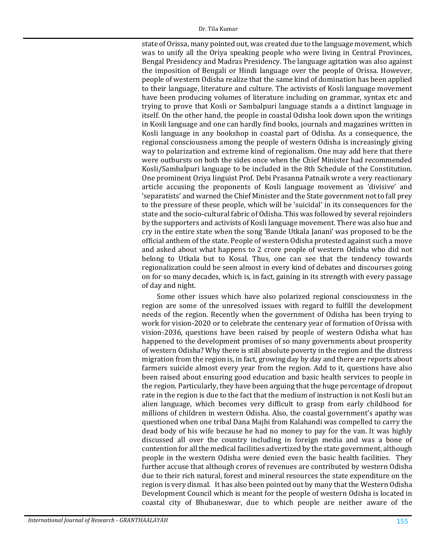state of Orissa, many pointed out, was created due to the language movement, which was to unify all the Oriya speaking people who were living in Central Provinces, Bengal Presidency and Madras Presidency. The language agitation was also against the imposition of Bengali or Hindi language over the people of Orissa. However, people of western Odisha realize that the same kind of domination has been applied to their language, literature and culture. The activists of Kosli language movement have been producing volumes of literature including on grammar, syntax etc and trying to prove that Kosli or Sambalpuri language stands a a distinct language in itself. On the other hand, the people in coastal Odisha look down upon the writings in Kosli language and one can hardly find books, journals and magazines written in Kosli language in any bookshop in coastal part of Odisha. As a consequence, the regional consciousness among the people of western Odisha is increasingly giving way to polarization and extreme kind of regionalism. One may add here that there were outbursts on both the sides once when the Chief Minister had recommended Kosli/Sambalpuri language to be included in the 8th Schedule of the Constitution. One prominent Oriya linguist Prof. Debi Prasanna Patnaik wrote a very reactionary article accusing the proponents of Kosli language movement as 'divisive' and 'separatists' and warned the Chief Minister and the State government not to fall prey to the pressure of these people, which will be 'suicidal' in its consequences for the state and the socio-cultural fabric of Odisha. This was followed by several rejoinders by the supporters and activists of Kosli language movement. There was also hue and cry in the entire state when the song 'Bande Utkala Janani' was proposed to be the official anthem of the state. People of western Odisha protested against such a move and asked about what happens to 2 crore people of western Odisha who did not belong to Utkala but to Kosal. Thus, one can see that the tendency towards regionalization could be seen almost in every kind of debates and discourses going on for so many decades, which is, in fact, gaining in its strength with every passage of day and night.

Some other issues which have also polarized regional consciousness in the region are some of the unresolved issues with regard to fulfill the development needs of the region. Recently when the government of Odisha has been trying to work for vision-2020 or to celebrate the centenary year of formation of Orissa with vision-2036, questions have been raised by people of western Odisha what has happened to the development promises of so many governments about prosperity of western Odisha? Why there is still absolute poverty in the region and the distress migration from the region is, in fact, growing day by day and there are reports about farmers suicide almost every year from the region. Add to it, questions have also been raised about ensuring good education and basic health services to people in the region. Particularly, they have been arguing that the huge percentage of dropout rate in the region is due to the fact that the medium of instruction is not Kosli but an alien language, which becomes very difficult to grasp from early childhood for millions of children in western Odisha. Also, the coastal government's apathy was questioned when one tribal Dana Majhi from Kalahandi was compelled to carry the dead body of his wife because he had no money to pay for the van. It was highly discussed all over the country including in foreign media and was a bone of contention for all the medical facilities advertized by the state government, although people in the western Odisha were denied even the basic health facilities. They further accuse that although crores of revenues are contributed by western Odisha due to their rich natural, forest and mineral resources the state expenditure on the region is very dismal. It has also been pointed out by many that the Western Odisha Development Council which is meant for the people of western Odisha is located in coastal city of Bhubaneswar, due to which people are neither aware of the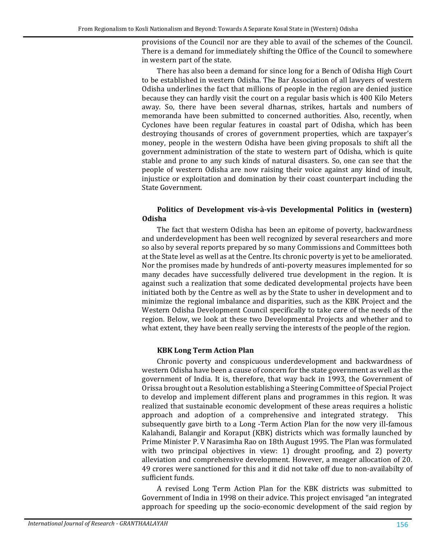provisions of the Council nor are they able to avail of the schemes of the Council. There is a demand for immediately shifting the Office of the Council to somewhere in western part of the state.

There has also been a demand for since long for a Bench of Odisha High Court to be established in western Odisha. The Bar Association of all lawyers of western Odisha underlines the fact that millions of people in the region are denied justice because they can hardly visit the court on a regular basis which is 400 Kilo Meters away. So, there have been several dharnas, strikes, hartals and numbers of memoranda have been submitted to concerned authorities. Also, recently, when Cyclones have been regular features in coastal part of Odisha, which has been destroying thousands of crores of government properties, which are taxpayer's money, people in the western Odisha have been giving proposals to shift all the government administration of the state to western part of Odisha, which is quite stable and prone to any such kinds of natural disasters. So, one can see that the people of western Odisha are now raising their voice against any kind of insult, injustice or exploitation and domination by their coast counterpart including the State Government.

### **Politics of Development vis-à-vis Developmental Politics in (western) Odisha**

The fact that western Odisha has been an epitome of poverty, backwardness and underdevelopment has been well recognized by several researchers and more so also by several reports prepared by so many Commissions and Committees both at the State level as well as at the Centre. Its chronic poverty is yet to be ameliorated. Nor the promises made by hundreds of anti-poverty measures implemented for so many decades have successfully delivered true development in the region. It is against such a realization that some dedicated developmental projects have been initiated both by the Centre as well as by the State to usher in development and to minimize the regional imbalance and disparities, such as the KBK Project and the Western Odisha Development Council specifically to take care of the needs of the region. Below, we look at these two Developmental Projects and whether and to what extent, they have been really serving the interests of the people of the region.

#### **KBK Long Term Action Plan**

Chronic poverty and conspicuous underdevelopment and backwardness of western Odisha have been a cause of concern for the state government as well as the government of India. It is, therefore, that way back in 1993, the Government of Orissa brought out a Resolution establishing a Steering Committee of Special Project to develop and implement different plans and programmes in this region. It was realized that sustainable economic development of these areas requires a holistic approach and adoption of a comprehensive and integrated strategy. This subsequently gave birth to a Long -Term Action Plan for the now very ill-famous Kalahandi, Balangir and Koraput (KBK) districts which was formally launched by Prime Minister P. V Narasimha Rao on 18th August 1995. The Plan was formulated with two principal objectives in view: 1) drought proofing, and 2) poverty alleviation and comprehensive development. However, a meager allocation of 20. 49 crores were sanctioned for this and it did not take off due to non-availabilty of sufficient funds.

A revised Long Term Action Plan for the KBK districts was submitted to Government of India in 1998 on their advice. This project envisaged "an integrated approach for speeding up the socio-economic development of the said region by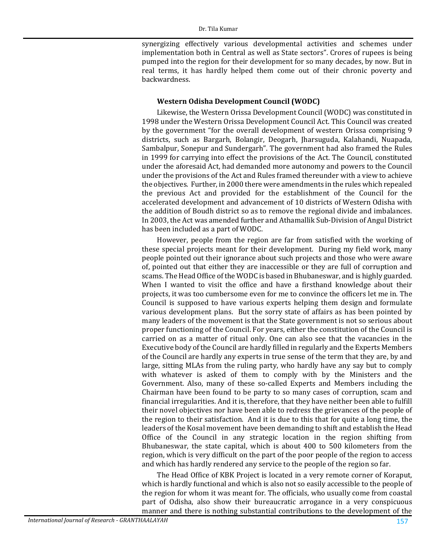synergizing effectively various developmental activities and schemes under implementation both in Central as well as State sectors". Crores of rupees is being pumped into the region for their development for so many decades, by now. But in real terms, it has hardly helped them come out of their chronic poverty and backwardness.

#### **Western Odisha Development Council (WODC)**

Likewise, the Western Orissa Development Council (WODC) was constituted in 1998 under the Western Orissa Development Council Act. This Council was created by the government "for the overall development of western Orissa comprising 9 districts, such as Bargarh, Bolangir, Deogarh, Jharsuguda, Kalahandi, Nuapada, Sambalpur, Sonepur and Sundergarh". The government had also framed the Rules in 1999 for carrying into effect the provisions of the Act. The Council, constituted under the aforesaid Act, had demanded more autonomy and powers to the Council under the provisions of the Act and Rules framed thereunder with a view to achieve the objectives. Further, in 2000 there were amendments in the rules which repealed the previous Act and provided for the establishment of the Council for the accelerated development and advancement of 10 districts of Western Odisha with the addition of Boudh district so as to remove the regional divide and imbalances. In 2003, the Act was amended further and Athamallik Sub-Division of Angul District has been included as a part of WODC.

However, people from the region are far from satisfied with the working of these special projects meant for their development. During my field work, many people pointed out their ignorance about such projects and those who were aware of, pointed out that either they are inaccessible or they are full of corruption and scams. The Head Office of the WODC is based in Bhubaneswar, and is highly guarded. When I wanted to visit the office and have a firsthand knowledge about their projects, it was too cumbersome even for me to convince the officers let me in. The Council is supposed to have various experts helping them design and formulate various development plans. But the sorry state of affairs as has been pointed by many leaders of the movement is that the State government is not so serious about proper functioning of the Council. For years, either the constitution of the Council is carried on as a matter of ritual only. One can also see that the vacancies in the Executive body of the Council are hardly filled in regularly and the Experts Members of the Council are hardly any experts in true sense of the term that they are, by and large, sitting MLAs from the ruling party, who hardly have any say but to comply with whatever is asked of them to comply with by the Ministers and the Government. Also, many of these so-called Experts and Members including the Chairman have been found to be party to so many cases of corruption, scam and financial irregularities. And it is, therefore, that they have neither been able to fulfill their novel objectives nor have been able to redress the grievances of the people of the region to their satisfaction. And it is due to this that for quite a long time, the leaders of the Kosal movement have been demanding to shift and establish the Head Office of the Council in any strategic location in the region shifting from Bhubaneswar, the state capital, which is about 400 to 500 kilometers from the region, which is very difficult on the part of the poor people of the region to access and which has hardly rendered any service to the people of the region so far.

The Head Office of KBK Project is located in a very remote corner of Koraput, which is hardly functional and which is also not so easily accessible to the people of the region for whom it was meant for. The officials, who usually come from coastal part of Odisha, also show their bureaucratic arrogance in a very conspicuous manner and there is nothing substantial contributions to the development of the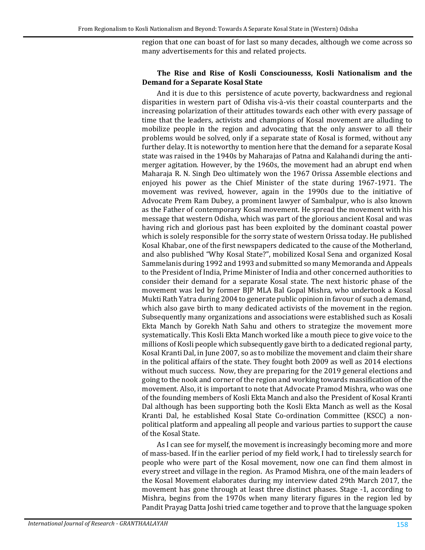region that one can boast of for last so many decades, although we come across so many advertisements for this and related projects.

#### **The Rise and Rise of Kosli Consciounesss, Kosli Nationalism and the Demand for a Separate Kosal State**

And it is due to this persistence of acute poverty, backwardness and regional disparities in western part of Odisha vis-à-vis their coastal counterparts and the increasing polarization of their attitudes towards each other with every passage of time that the leaders, activists and champions of Kosal movement are alluding to mobilize people in the region and advocating that the only answer to all their problems would be solved, only if a separate state of Kosal is formed, without any further delay. It is noteworthy to mention here that the demand for a separate Kosal state was raised in the 1940s by Maharajas of Patna and Kalahandi during the antimerger agitation. However, by the 1960s, the movement had an abrupt end when Maharaja R. N. Singh Deo ultimately won the 1967 Orissa Assemble elections and enjoyed his power as the Chief Minister of the state during 1967-1971. The movement was revived, however, again in the 1990s due to the initiative of Advocate Prem Ram Dubey, a prominent lawyer of Sambalpur, who is also known as the Father of contemporary Kosal movement. He spread the movement with his message that western Odisha, which was part of the glorious ancient Kosal and was having rich and glorious past has been exploited by the dominant coastal power which is solely responsible for the sorry state of western Orissa today. He published Kosal Khabar, one of the first newspapers dedicated to the cause of the Motherland, and also published "Why Kosal State?", mobilized Kosal Sena and organized Kosal Sammelanis during 1992 and 1993 and submitted so many Memoranda and Appeals to the President of India, Prime Minister of India and other concerned authorities to consider their demand for a separate Kosal state. The next historic phase of the movement was led by former BJP MLA Bal Gopal Mishra, who undertook a Kosal Mukti Rath Yatra during 2004 to generate public opinion in favour of such a demand, which also gave birth to many dedicated activists of the movement in the region. Subsequently many organizations and associations were established such as Kosali Ekta Manch by Gorekh Nath Sahu and others to strategize the movement more systematically. This Kosli Ekta Manch worked like a mouth piece to give voice to the millions of Kosli people which subsequently gave birth to a dedicated regional party, Kosal Kranti Dal, in June 2007, so as to mobilize the movement and claim their share in the political affairs of the state. They fought both 2009 as well as 2014 elections without much success. Now, they are preparing for the 2019 general elections and going to the nook and corner of the region and working towards massification of the movement. Also, it is important to note that Advocate Pramod Mishra, who was one of the founding members of Kosli Ekta Manch and also the President of Kosal Kranti Dal although has been supporting both the Kosli Ekta Manch as well as the Kosal Kranti Dal, he established Kosal State Co-ordination Committee (KSCC) a nonpolitical platform and appealing all people and various parties to support the cause of the Kosal State.

As I can see for myself, the movement is increasingly becoming more and more of mass-based. If in the earlier period of my field work, I had to tirelessly search for people who were part of the Kosal movement, now one can find them almost in every street and village in the region. As Pramod Mishra, one of the main leaders of the Kosal Movement elaborates during my interview dated 29th March 2017, the movement has gone through at least three distinct phases. Stage -1, according to Mishra, begins from the 1970s when many literary figures in the region led by Pandit Prayag Datta Joshi tried came together and to prove that the language spoken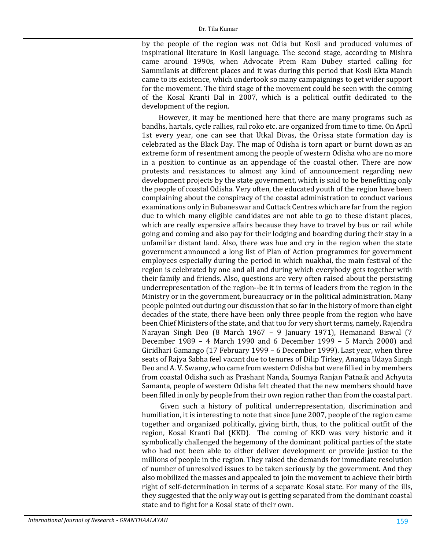by the people of the region was not Odia but Kosli and produced volumes of inspirational literature in Kosli language. The second stage, according to Mishra came around 1990s, when Advocate Prem Ram Dubey started calling for Sammilanis at different places and it was during this period that Kosli Ekta Manch came to its existence, which undertook so many campaignings to get wider support for the movement. The third stage of the movement could be seen with the coming of the Kosal Kranti Dal in 2007, which is a political outfit dedicated to the development of the region.

However, it may be mentioned here that there are many programs such as bandhs, hartals, cycle rallies, rail roko etc. are organized from time to time. On April 1st every year, one can see that Utkal Divas, the Orissa state formation day is celebrated as the Black Day. The map of Odisha is torn apart or burnt down as an extreme form of resentment among the people of western Odisha who are no more in a position to continue as an appendage of the coastal other. There are now protests and resistances to almost any kind of announcement regarding new development projects by the state government, which is said to be benefitting only the people of coastal Odisha. Very often, the educated youth of the region have been complaining about the conspiracy of the coastal administration to conduct various examinations only in Bubaneswar and Cuttack Centres which are far from the region due to which many eligible candidates are not able to go to these distant places, which are really expensive affairs because they have to travel by bus or rail while going and coming and also pay for their lodging and boarding during their stay in a unfamiliar distant land. Also, there was hue and cry in the region when the state government announced a long list of Plan of Action programmes for government employees especially during the period in which nuakhai, the main festival of the region is celebrated by one and all and during which everybody gets together with their family and friends. Also, questions are very often raised about the persisting underrepresentation of the region--be it in terms of leaders from the region in the Ministry or in the government, bureaucracy or in the political administration. Many people pointed out during our discussion that so far in the history of more than eight decades of the state, there have been only three people from the region who have been Chief Ministers of the state, and that too for very short terms, namely, Rajendra Narayan Singh Deo (8 March 1967 – 9 January 1971), Hemanand Biswal (7 December 1989 – 4 March 1990 and 6 December 1999 – 5 March 2000) and Giridhari Gamango (17 February 1999 – 6 December 1999). Last year, when three seats of Rajya Sabha feel vacant due to tenures of Dilip Tirkey, Ananga Udaya Singh Deo and A. V. Swamy, who came from western Odisha but were fillied in by members from coastal Odisha such as Prashant Nanda, Soumya Ranjan Patnaik and Achyuta Samanta, people of western Odisha felt cheated that the new members should have been filled in only by people from their own region rather than from the coastal part.

 Given such a history of political underrepresentation, discrimination and humiliation, it is interesting to note that since June 2007, people of the region came together and organized politically, giving birth, thus, to the political outfit of the region, Kosal Kranti Dal (KKD). The coming of KKD was very historic and it symbolically challenged the hegemony of the dominant political parties of the state who had not been able to either deliver development or provide justice to the millions of people in the region. They raised the demands for immediate resolution of number of unresolved issues to be taken seriously by the government. And they also mobilized the masses and appealed to join the movement to achieve their birth right of self-determination in terms of a separate Kosal state. For many of the ills, they suggested that the only way out is getting separated from the dominant coastal state and to fight for a Kosal state of their own.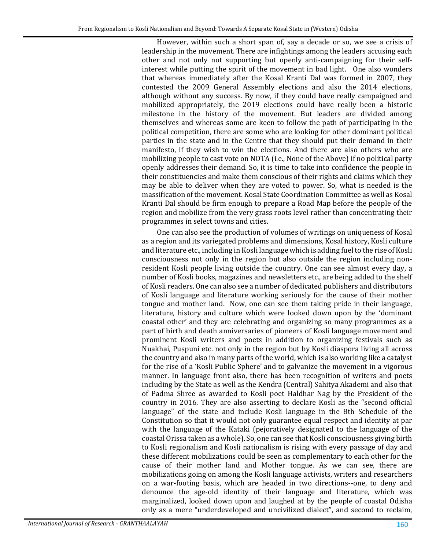However, within such a short span of, say a decade or so, we see a crisis of leadership in the movement. There are infightings among the leaders accusing each other and not only not supporting but openly anti-campaigning for their selfinterest while putting the spirit of the movement in bad light. One also wonders that whereas immediately after the Kosal Kranti Dal was formed in 2007, they contested the 2009 General Assembly elections and also the 2014 elections, although without any success. By now, if they could have really campaigned and mobilized appropriately, the 2019 elections could have really been a historic milestone in the history of the movement. But leaders are divided among themselves and whereas some are keen to follow the path of participating in the political competition, there are some who are looking for other dominant political parties in the state and in the Centre that they should put their demand in their manifesto, if they wish to win the elections. And there are also others who are mobilizing people to cast vote on NOTA (i.e., None of the Above) if no political party openly addresses their demand. So, it is time to take into confidence the people in their constituencies and make them conscious of their rights and claims which they may be able to deliver when they are voted to power. So, what is needed is the massification of the movement. Kosal State Coordination Committee as well as Kosal Kranti Dal should be firm enough to prepare a Road Map before the people of the region and mobilize from the very grass roots level rather than concentrating their programmes in select towns and cities.

One can also see the production of volumes of writings on uniqueness of Kosal as a region and its variegated problems and dimensions, Kosal history, Kosli culture and literature etc., including in Kosli language which is adding fuel to the rise of Kosli consciousness not only in the region but also outside the region including nonresident Kosli people living outside the country. One can see almost every day, a number of Kosli books, magazines and newsletters etc., are being added to the shelf of Kosli readers. One can also see a number of dedicated publishers and distributors of Kosli language and literature working seriously for the cause of their mother tongue and mother land. Now, one can see them taking pride in their language, literature, history and culture which were looked down upon by the 'dominant coastal other' and they are celebrating and organizing so many programmes as a part of birth and death anniversaries of pioneers of Kosli language movement and prominent Kosli writers and poets in addition to organizing festivals such as Nuakhai, Puspuni etc. not only in the region but by Kosli diaspora living all across the country and also in many parts of the world, which is also working like a catalyst for the rise of a 'Kosli Public Sphere' and to galvanize the movement in a vigorous manner. In language front also, there has been recognition of writers and poets including by the State as well as the Kendra (Central) Sahitya Akademi and also that of Padma Shree as awarded to Kosli poet Haldhar Nag by the President of the country in 2016. They are also asserting to declare Kosli as the "second official language" of the state and include Kosli language in the 8th Schedule of the Constitution so that it would not only guarantee equal respect and identity at par with the language of the Kataki (pejoratively designated to the language of the coastal Orissa taken as a whole). So, one can see that Kosli consciousness giving birth to Kosli regionalism and Kosli nationalism is rising with every passage of day and these different mobilizations could be seen as complementary to each other for the cause of their mother land and Mother tongue. As we can see, there are mobilizations going on among the Kosli language activists, writers and researchers on a war-footing basis, which are headed in two directions--one, to deny and denounce the age-old identity of their language and literature, which was marginalized, looked down upon and laughed at by the people of coastal Odisha only as a mere "underdeveloped and uncivilized dialect", and second to reclaim,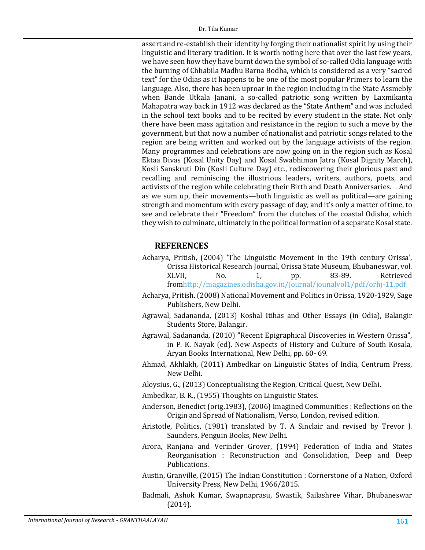assert and re-establish their identity by forging their nationalist spirit by using their linguistic and literary tradition. It is worth noting here that over the last few years, we have seen how they have burnt down the symbol of so-called Odia language with the burning of Chhabila Madhu Barna Bodha, which is considered as a very "sacred text" for the Odias as it happens to be one of the most popular Primers to learn the language. Also, there has been uproar in the region including in the State Assmebly when Bande Utkala Janani, a so-called patriotic song written by Laxmikanta Mahapatra way back in 1912 was declared as the "State Anthem" and was included in the school text books and to be recited by every student in the state. Not only there have been mass agitation and resistance in the region to such a move by the government, but that now a number of nationalist and patriotic songs related to the region are being written and worked out by the language activists of the region. Many programmes and celebrations are now going on in the region such as Kosal Ektaa Divas (Kosal Unity Day) and Kosal Swabhiman Jatra (Kosal Dignity March), Kosli Sanskruti Din (Kosli Culture Day) etc., rediscovering their glorious past and recalling and reminiscing the illustrious leaders, writers, authors, poets, and activists of the region while celebrating their Birth and Death Anniversaries. And as we sum up, their movements—both linguistic as well as political—are gaining strength and momentum with every passage of day, and it's only a matter of time, to see and celebrate their "Freedom" from the clutches of the coastal Odisha, which they wish to culminate, ultimately in the political formation of a separate Kosal state.

#### **REFERENCES**

- Acharya, Pritish, (2004) 'The Linguistic Movement in the 19th century Orissa', Orissa Historical Research Journal, Orissa State Museum, Bhubaneswar, vol.<br>XLVII,  $\begin{array}{ccc} 0.6 & 1, & \text{p.} & 83-89. & \text{Retrieved} \end{array}$ XLVII, No. 1, pp. 83-89. Retrieved fro[mhttp://magazines.odisha.gov.in/Journal/jounalvol1/pdf/orhj-11.pdf](http://magazines.odisha.gov.in/Journal/jounalvol1/pdf/orhj-11.pdf)
- Acharya, Pritish. (2008) National Movement and Politics in Orissa, 1920-1929, Sage Publishers, New Delhi.
- Agrawal, Sadananda, (2013) Koshal Itihas and Other Essays (in Odia), Balangir Students Store, Balangir.
- Agrawal, Sadananda, (2010) "Recent Epigraphical Discoveries in Western Orissa", in P. K. Nayak (ed). New Aspects of History and Culture of South Kosala, Aryan Books International, New Delhi, pp. 60- 69.
- Ahmad, Akhlakh, (2011) Ambedkar on Linguistic States of India, Centrum Press, New Delhi.

Aloysius, G., (2013) Conceptualising the Region, Critical Quest, New Delhi.

Ambedkar, B. R., (1955) Thoughts on Linguistic States.

- Anderson, Benedict (orig.1983), (2006) Imagined Communities : Reflections on the Origin and Spread of Nationalism, Verso, London, revised edition.
- Aristotle, Politics, (1981) translated by T. A Sinclair and revised by Trevor J. Saunders, Penguin Books, New Delhi.
- Arora, Ranjana and Verinder Grover, (1994) Federation of India and States Reorganisation : Reconstruction and Consolidation, Deep and Deep Publications.
- Austin, Granville, (2015) The Indian Constitution : Cornerstone of a Nation, Oxford University Press, New Delhi, 1966/2015.
- Badmali, Ashok Kumar, Swapnaprasu, Swastik, Sailashree Vihar, Bhubaneswar (2014).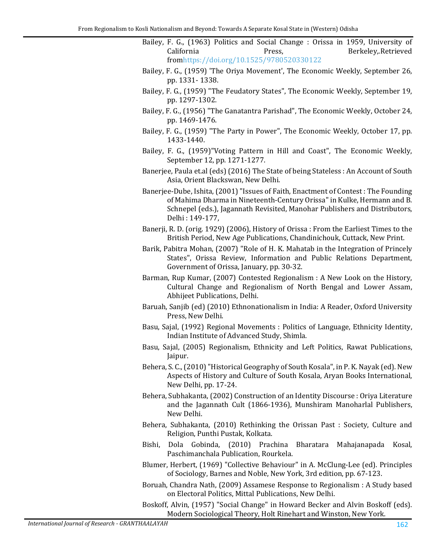- Bailey, F. G., (1963) Politics and Social Change : Orissa in 1959, University of Berkeley, Retrieved fro[mhttps://doi.org/10.1525/9780520330122](https://doi.org/10.1525/9780520330122)
- Bailey, F. G., (1959) 'The Oriya Movement', The Economic Weekly, September 26, pp. 1331- 1338.
- Bailey, F. G., (1959) "The Feudatory States", The Economic Weekly, September 19, pp. 1297-1302.
- Bailey, F. G., (1956) "The Ganatantra Parishad", The Economic Weekly, October 24, pp. 1469-1476.
- Bailey, F. G., (1959) "The Party in Power", The Economic Weekly, October 17, pp. 1433-1440.
- Bailey, F. G., (1959)"Voting Pattern in Hill and Coast", The Economic Weekly, September 12, pp. 1271-1277.
- Banerjee, Paula et.al (eds) (2016) The State of being Stateless : An Account of South Asia, Orient Blackswan, New Delhi.
- Banerjee-Dube, Ishita, (2001) "Issues of Faith, Enactment of Contest : The Founding of Mahima Dharma in Nineteenth-Century Orissa" in Kulke, Hermann and B. Schnepel (eds.), Jagannath Revisited, Manohar Publishers and Distributors, Delhi : 149-177,
- Banerji, R. D. (orig. 1929) (2006), History of Orissa : From the Earliest Times to the British Period, New Age Publications, Chandinichouk, Cuttack, New Print.
- Barik, Pabitra Mohan, (2007) "Role of H. K. Mahatab in the Integration of Princely States", Orissa Review, Information and Public Relations Department, Government of Orissa, January, pp. 30-32.
- Barman, Rup Kumar, (2007) Contested Regionalism : A New Look on the History, Cultural Change and Regionalism of North Bengal and Lower Assam, Abhijeet Publications, Delhi.
- Baruah, Sanjib (ed) (2010) Ethnonationalism in India: A Reader, Oxford University Press, New Delhi.
- Basu, Sajal, (1992) Regional Movements : Politics of Language, Ethnicity Identity, Indian Institute of Advanced Study, Shimla.
- Basu, Sajal, (2005) Regionalism, Ethnicity and Left Politics, Rawat Publications, Jaipur.
- Behera, S. C., (2010)"Historical Geography of South Kosala", in P. K. Nayak (ed). New Aspects of History and Culture of South Kosala, Aryan Books International, New Delhi, pp. 17-24.
- Behera, Subhakanta, (2002) Construction of an Identity Discourse : Oriya Literature and the Jagannath Cult (1866-1936), Munshiram Manoharlal Publishers, New Delhi.
- Behera, Subhakanta, (2010) Rethinking the Orissan Past : Society, Culture and Religion, Punthi Pustak, Kolkata.
- Bishi, Dola Gobinda, (2010) Prachina Bharatara Mahajanapada Kosal, Paschimanchala Publication, Rourkela.
- Blumer, Herbert, (1969) "Collective Behaviour" in A. McClung-Lee (ed). Principles of Sociology, Barnes and Noble, New York, 3rd edition, pp. 67-123.
- Boruah, Chandra Nath, (2009) Assamese Response to Regionalism : A Study based on Electoral Politics, Mittal Publications, New Delhi.
- Boskoff, Alvin, (1957) "Social Change" in Howard Becker and Alvin Boskoff (eds). Modern Sociological Theory, Holt Rinehart and Winston, New York.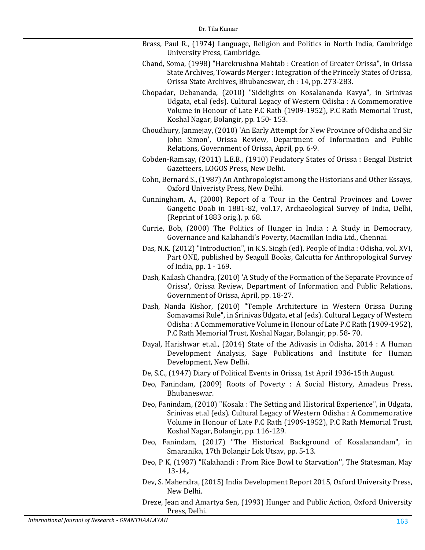- Brass, Paul R., (1974) Language, Religion and Politics in North India, Cambridge University Press, Cambridge.
- Chand, Soma, (1998) "Harekrushna Mahtab : Creation of Greater Orissa", in Orissa State Archives, Towards Merger : Integration of the Princely States of Orissa, Orissa State Archives, Bhubaneswar, ch : 14, pp. 273-283.
- Chopadar, Debananda, (2010) "Sidelights on Kosalananda Kavya", in Srinivas Udgata, et.al (eds). Cultural Legacy of Western Odisha : A Commemorative Volume in Honour of Late P.C Rath (1909-1952), P.C Rath Memorial Trust, Koshal Nagar, Bolangir, pp. 150- 153.
- Choudhury, Janmejay, (2010) 'An Early Attempt for New Province of Odisha and Sir John Simon', Orissa Review, Department of Information and Public Relations, Government of Orissa, April, pp. 6-9.
- Cobden-Ramsay, (2011) L.E.B., (1910) Feudatory States of Orissa : Bengal District Gazetteers, LOGOS Press, New Delhi.
- <span id="page-16-0"></span>Cohn, Bernard S., (1987) An Anthropologist among the Historians and Other Essays, Oxford Univeristy Press, New Delhi.
- Cunningham, A., (2000) Report of a Tour in the Central Provinces and Lower Gangetic Doab in 1881-82, vol.17, Archaeological Survey of India, Delhi, (Reprint of 1883 orig.), p. 68.
- Currie, Bob, (2000) The Politics of Hunger in India : A Study in Democracy, Governance and Kalahandi's Poverty, Macmillan India Ltd., Chennai.
- Das, N.K. (2012) "Introduction", in K.S. Singh (ed). People of India : Odisha, vol. XVI, Part ONE, published by Seagull Books, Calcutta for Anthropological Survey of India, pp. 1 - 169.
- Dash, Kailash Chandra, (2010) 'A Study of the Formation of the Separate Province of Orissa', Orissa Review, Department of Information and Public Relations, Government of Orissa, April, pp. 18-27.
- Dash, Nanda Kishor, (2010) "Temple Architecture in Western Orissa During Somavamsi Rule", in Srinivas Udgata, et.al (eds). Cultural Legacy of Western Odisha : A Commemorative Volume in Honour of Late P.C Rath (1909-1952), P.C Rath Memorial Trust, Koshal Nagar, Bolangir, pp. 58- 70.
- Dayal, Harishwar et.al., (2014) State of the Adivasis in Odisha, 2014 : A Human Development Analysis, Sage Publications and Institute for Human Development, New Delhi.
- De, S.C., (1947) Diary of Political Events in Orissa, 1st April 1936-15th August.
- Deo, Fanindam, (2009) Roots of Poverty : A Social History, Amadeus Press, Bhubaneswar.
- Deo, Fanindam, (2010) "Kosala : The Setting and Historical Experience", in Udgata, Srinivas et.al (eds). Cultural Legacy of Western Odisha : A Commemorative Volume in Honour of Late P.C Rath (1909-1952), P.C Rath Memorial Trust, Koshal Nagar, Bolangir, pp. 116-129.
- Deo, Fanindam, (2017) "The Historical Background of Kosalanandam", in Smaranika, 17th Bolangir Lok Utsav, pp. 5-13.
- Deo, P K, (1987) "Kalahandi : From Rice Bowl to Starvation'', The Statesman, May 13-14,.
- Dev, S. Mahendra, (2015) India Development Report 2015, Oxford University Press, New Delhi.
- Dreze, Jean and Amartya Sen, (1993) Hunger and Public Action, Oxford University Press, Delhi.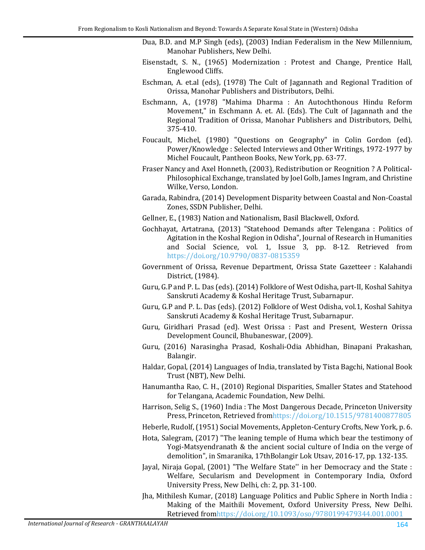- Dua, B.D. and M.P Singh (eds), (2003) Indian Federalism in the New Millennium, Manohar Publishers, New Delhi.
- Eisenstadt, S. N., (1965) Modernization : Protest and Change, Prentice Hall, Englewood Cliffs.
- Eschman, A. et.al (eds), (1978) The Cult of Jagannath and Regional Tradition of Orissa, Manohar Publishers and Distributors, Delhi.
- Eschmann, A., (1978) "Mahima Dharma : An Autochthonous Hindu Reform Movement," in Eschmann A. et. Al. (Eds). The Cult of Jagannath and the Regional Tradition of Orissa, Manohar Publishers and Distributors, Delhi, 375-410.
- <span id="page-17-0"></span>Foucault, Michel, (1980) "Questions on Geography" in Colin Gordon (ed). Power/Knowledge : Selected Interviews and Other Writings, 1972-1977 by Michel Foucault, Pantheon Books, New York, pp. 63-77.
- Fraser Nancy and Axel Honneth, (2003), Redistribution or Reognition ? A Political-Philosophical Exchange, translated by Joel Golb, James Ingram, and Christine Wilke, Verso, London.
- Garada, Rabindra, (2014) Development Disparity between Coastal and Non-Coastal Zones, SSDN Publisher, Delhi.
- Gellner, E., (1983) Nation and Nationalism, Basil Blackwell, Oxford.
- Gochhayat, Artatrana, (2013) "Statehood Demands after Telengana : Politics of Agitation in the Koshal Region in Odisha", Journal of Research in Humanities and Social Science, vol. 1, Issue 3, pp. 8-12. Retrieved from <https://doi.org/10.9790/0837-0815359>
- Government of Orissa, Revenue Department, Orissa State Gazetteer : Kalahandi District, (1984).
- Guru, G.P and P. L. Das (eds). (2014) Folklore of West Odisha, part-II, Koshal Sahitya Sanskruti Academy & Koshal Heritage Trust, Subarnapur.
- Guru, G.P and P. L. Das (eds). (2012) Folklore of West Odisha, vol.1, Koshal Sahitya Sanskruti Academy & Koshal Heritage Trust, Subarnapur.
- Guru, Giridhari Prasad (ed). West Orissa : Past and Present, Western Orissa Development Council, Bhubaneswar, (2009).
- Guru, (2016) Narasingha Prasad, Koshali-Odia Abhidhan, Binapani Prakashan, Balangir.
- Haldar, Gopal, (2014) Languages of India, translated by Tista Bagchi, National Book Trust (NBT), New Delhi.
- Hanumantha Rao, C. H., (2010) Regional Disparities, Smaller States and Statehood for Telangana, Academic Foundation, New Delhi.
- Harrison, Selig S., (1960) India : The Most Dangerous Decade, Princeton University Press, Princeton, Retrieved fro[mhttps://doi.org/10.1515/9781400877805](https://doi.org/10.1515/9781400877805)
- Heberle, Rudolf, (1951) Social Movements, Appleton-Century Crofts, New York, p. 6.
- Hota, Salegram, (2017) "The leaning temple of Huma which bear the testimony of Yogi-Matsyendranath & the ancient social culture of India on the verge of demolition", in Smaranika, 17thBolangir Lok Utsav, 2016-17, pp. 132-135.
- Jayal, Niraja Gopal, (2001) "The Welfare State'' in her Democracy and the State : Welfare, Secularism and Development in Contemporary India, Oxford University Press, New Delhi, ch: 2, pp. 31-100.
- Jha, Mithilesh Kumar, (2018) Language Politics and Public Sphere in North India : Making of the Maithili Movement, Oxford University Press, New Delhi. Retrieved fro[mhttps://doi.org/10.1093/oso/9780199479344.001.0001](https://doi.org/10.1093/oso/9780199479344.001.0001)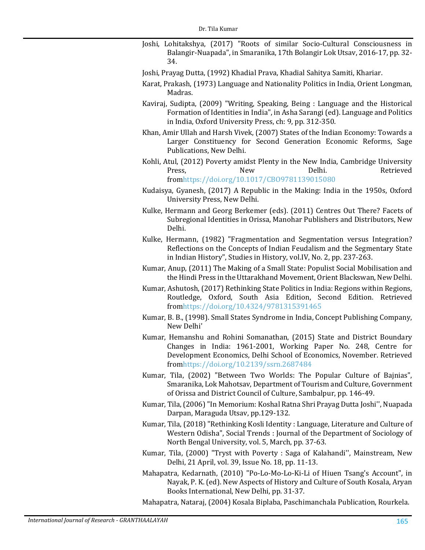- Joshi, Lohitakshya, (2017) "Roots of similar Socio-Cultural Consciousness in Balangir-Nuapada", in Smaranika, 17th Bolangir Lok Utsav, 2016-17, pp. 32- 34.
- Joshi, Prayag Dutta, (1992) Khadial Prava, Khadial Sahitya Samiti, Khariar.
- Karat, Prakash, (1973) Language and Nationality Politics in India, Orient Longman, Madras.
- Kaviraj, Sudipta, (2009) "Writing, Speaking, Being : Language and the Historical Formation of Identities in India", in Asha Sarangi (ed). Language and Politics in India, Oxford University Press, ch: 9, pp. 312-350.
- Khan, Amir Ullah and Harsh Vivek, (2007) States of the Indian Economy: Towards a Larger Constituency for Second Generation Economic Reforms, Sage Publications, New Delhi.
- Kohli, Atul, (2012) Poverty amidst Plenty in the New India, Cambridge University<br>Press. New Delhi. Retrieved Press, New Delhi. Retrieved fro[mhttps://doi.org/10.1017/CBO9781139015080](https://doi.org/10.1017/CBO9781139015080)
- Kudaisya, Gyanesh, (2017) A Republic in the Making: India in the 1950s, Oxford University Press, New Delhi.
- Kulke, Hermann and Georg Berkemer (eds). (2011) Centres Out There? Facets of Subregional Identities in Orissa, Manohar Publishers and Distributors, New Delhi.
- Kulke, Hermann, (1982) "Fragmentation and Segmentation versus Integration? Reflections on the Concepts of Indian Feudalism and the Segmentary State in Indian History", Studies in History, vol.IV, No. 2, pp. 237-263.
- Kumar, Anup, (2011) The Making of a Small State: Populist Social Mobilisation and the Hindi Press in the Uttarakhand Movement, Orient Blackswan, New Delhi.
- Kumar, Ashutosh, (2017) Rethinking State Politics in India: Regions within Regions, Routledge, Oxford, South Asia Edition, Second Edition. Retrieved fro[mhttps://doi.org/10.4324/9781315391465](https://doi.org/10.4324/9781315391465)
- Kumar, B. B., (1998). Small States Syndrome in India, Concept Publishing Company, New Delhi'
- Kumar, Hemanshu and Rohini Somanathan, (2015) State and District Boundary Changes in India: 1961-2001, Working Paper No. 248, Centre for Development Economics, Delhi School of Economics, November. Retrieved fro[mhttps://doi.org/10.2139/ssrn.2687484](https://doi.org/10.2139/ssrn.2687484)
- Kumar, Tila, (2002) "Between Two Worlds: The Popular Culture of Bajnias", Smaranika, Lok Mahotsav, Department of Tourism and Culture, Government of Orissa and District Council of Culture, Sambalpur, pp. 146-49.
- Kumar, Tila, (2006)"In Memorium: Koshal Ratna Shri Prayag Dutta Joshi'', Nuapada Darpan, Maraguda Utsav, pp.129-132.
- Kumar, Tila, (2018) "Rethinking Kosli Identity : Language, Literature and Culture of Western Odisha", Social Trends : Journal of the Department of Sociology of North Bengal University, vol. 5, March, pp. 37-63.
- Kumar, Tila, (2000) "Tryst with Poverty : Saga of Kalahandi'', Mainstream, New Delhi, 21 April, vol. 39, Issue No. 18, pp. 11-13.
- Mahapatra, Kedarnath, (2010) "Po-Lo-Mo-Lo-Ki-Li of Hiuen Tsang's Account", in Nayak, P. K. (ed). New Aspects of History and Culture of South Kosala, Aryan Books International, New Delhi, pp. 31-37.

Mahapatra, Nataraj, (2004) Kosala Biplaba, Paschimanchala Publication, Rourkela.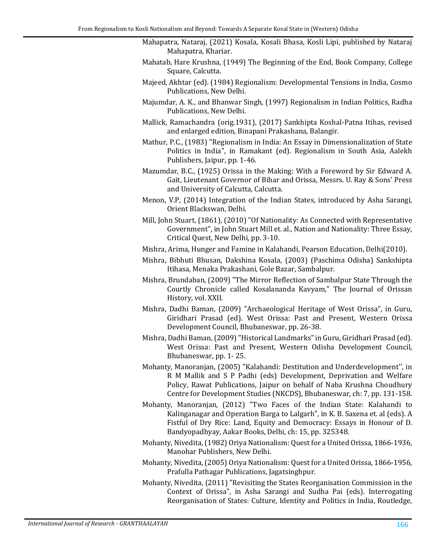- Mahapatra, Nataraj, (2021) Kosala, Kosali Bhasa, Kosli Lipi, published by Nataraj Mahapatra, Khariar.
- Mahatab, Hare Krushna, (1949) The Beginning of the End, Book Company, College Square, Calcutta.
- Majeed, Akhtar (ed). (1984) Regionalism: Developmental Tensions in India, Cosmo Publications, New Delhi.
- <span id="page-19-0"></span>Majumdar, A. K., and Bhanwar Singh, (1997) Regionalism in Indian Politics, Radha Publications, New Delhi.
- Mallick, Ramachandra (orig.1931), (2017) Sankhipta Koshal-Patna Itihas, revised and enlarged edition, Binapani Prakashana, Balangir.
- <span id="page-19-1"></span>Mathur, P.C., (1983) "Regionalism in India: An Essay in Dimensionalization of State Politics in India", in Ramakant (ed). Regionalism in South Asia, Aalekh Publishers, Jaipur, pp. 1-46.
- Mazumdar, B.C., (1925) Orissa in the Making: With a Foreword by Sir Edward A. Gait, Lieutenant Governor of Bihar and Orissa, Messrs. U. Ray & Sons' Press and University of Calcutta, Calcutta.
- Menon, V.P, (2014) Integration of the Indian States, introduced by Asha Sarangi, Orient Blackswan, Delhi.
- Mill, John Stuart, (1861), (2010) "Of Nationality: As Connected with Representative Government", in John Stuart Mill et. al., Nation and Nationality: Three Essay, Critical Quest, New Delhi, pp. 3-10.
- Mishra, Arima, Hunger and Famine in Kalahandi, Pearson Education, Delhi(2010).
- Mishra, Bibhuti Bhusan, Dakshina Kosala, (2003) (Paschima Odisha) Sankshipta Itihasa, Menaka Prakashani, Gole Bazar, Sambalpur.
- Mishra, Brundaban, (2009) "The Mirror Reflection of Sambalpur State Through the Courtly Chronicle called Kosalananda Kavyam," The Journal of Orissan History, vol. XXII.
- Mishra, Dadhi Baman, (2009) "Archaeological Heritage of West Orissa", in Guru, Giridhari Prasad (ed). West Orissa: Past and Present, Western Orissa Development Council, Bhubaneswar, pp. 26-38.
- Mishra, Dadhi Baman,(2009)"Historical Landmarks" in Guru, Giridhari Prasad (ed). West Orissa: Past and Present, Western Odisha Development Council, Bhubaneswar, pp. 1- 25.
- Mohanty, Manoranjan, (2005) "Kalahandi: Destitution and Underdevelopment'', in R M Mallik and S P Padhi (eds) Development, Deprivation and Welfare Policy, Rawat Publications, Jaipur on behalf of Naba Krushna Choudhury Centre for Development Studies (NKCDS), Bhubaneswar, ch: 7, pp. 131-158.
- Mohanty, Manoranjan, (2012) "Two Faces of the Indian State: Kalahandi to Kalinganagar and Operation Barga to Lalgarh", in K. B. Saxena et. al (eds). A Fistful of Dry Rice: Land, Equity and Democracy: Essays in Honour of D. Bandyopadhyay, Aakar Books, Delhi, ch: 15, pp. 325348.
- Mohanty, Nivedita,(1982) Oriya Nationalism: Quest for a United Orissa, 1866-1936, Manohar Publishers, New Delhi.
- Mohanty, Nivedita,(2005) Oriya Nationalism: Quest for a United Orissa, 1866-1956, Prafulla Pathagar Publications, Jagatsinghpur.
- Mohanty, Nivedita, (2011) "Revisiting the States Reorganisation Commission in the Context of Orissa", in Asha Sarangi and Sudha Pai (eds). Interrogating Reorganisation of States: Culture, Identity and Politics in India, Routledge,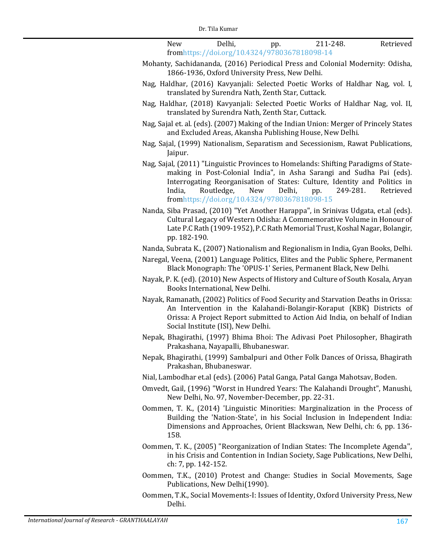New Delhi, pp. 211-248. Retrieved fro[mhttps://doi.org/10.4324/9780367818098-14](https://doi.org/10.4324/9780367818098-14)

- Mohanty, Sachidananda, (2016) Periodical Press and Colonial Modernity: Odisha, 1866-1936, Oxford University Press, New Delhi.
- Nag, Haldhar, (2016) Kavyanjali: Selected Poetic Works of Haldhar Nag, vol. I, translated by Surendra Nath, Zenth Star, Cuttack.
- Nag, Haldhar, (2018) Kavyanjali: Selected Poetic Works of Haldhar Nag, vol. II, translated by Surendra Nath, Zenth Star, Cuttack.
- Nag, Sajal et. al. (eds). (2007) Making of the Indian Union: Merger of Princely States and Excluded Areas, Akansha Publishing House, New Delhi.
- Nag, Sajal, (1999) Nationalism, Separatism and Secessionism, Rawat Publications, Jaipur.
- Nag, Sajal, (2011) "Linguistic Provinces to Homelands: Shifting Paradigms of Statemaking in Post-Colonial India", in Asha Sarangi and Sudha Pai (eds). Interrogating Reorganisation of States: Culture, Identity and Politics in India. Routledge. New Delhi, pp. 249-281. Retrieved India, Routledge, New Delhi, pp. 249-281. Retrieved fro[mhttps://doi.org/10.4324/9780367818098-15](https://doi.org/10.4324/9780367818098-15)
- Nanda, Siba Prasad, (2010) "Yet Another Harappa", in Srinivas Udgata, et.al (eds). Cultural Legacy of Western Odisha: A Commemorative Volume in Honour of Late P.C Rath (1909-1952), P.C Rath Memorial Trust, Koshal Nagar, Bolangir, pp. 182-190.
- Nanda, Subrata K., (2007) Nationalism and Regionalism in India, Gyan Books, Delhi.
- Naregal, Veena, (2001) Language Politics, Elites and the Public Sphere, Permanent Black Monograph: The 'OPUS-1' Series, Permanent Black, New Delhi.
- Nayak, P. K. (ed). (2010) New Aspects of History and Culture of South Kosala, Aryan Books International, New Delhi.
- Nayak, Ramanath, (2002) Politics of Food Security and Starvation Deaths in Orissa: An Intervention in the Kalahandi-Bolangir-Koraput (KBK) Districts of Orissa: A Project Report submitted to Action Aid India, on behalf of Indian Social Institute (ISI), New Delhi.
- Nepak, Bhagirathi, (1997) Bhima Bhoi: The Adivasi Poet Philosopher, Bhagirath Prakashana, Nayapalli, Bhubaneswar.
- Nepak, Bhagirathi, (1999) Sambalpuri and Other Folk Dances of Orissa, Bhagirath Prakashan, Bhubaneswar.
- Nial, Lambodhar et.al (eds). (2006) Patal Ganga, Patal Ganga Mahotsav, Boden.
- Omvedt, Gail, (1996) "Worst in Hundred Years: The Kalahandi Drought", Manushi, New Delhi, No. 97, November-December, pp. 22-31.
- Oommen, T. K., (2014) 'Linguistic Minorities: Marginalization in the Process of Building the 'Nation-State', in his Social Inclusion in Independent India: Dimensions and Approaches, Orient Blackswan, New Delhi, ch: 6, pp. 136- 158.
- Oommen, T. K., (2005) "Reorganization of Indian States: The Incomplete Agenda'', in his Crisis and Contention in Indian Society, Sage Publications, New Delhi, ch: 7, pp. 142-152.
- Oommen, T.K., (2010) Protest and Change: Studies in Social Movements, Sage Publications, New Delhi(1990).
- Oommen, T.K., Social Movements-I: Issues of Identity, Oxford University Press, New Delhi.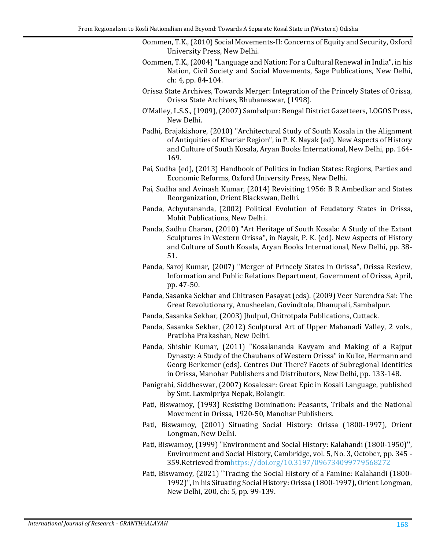- Oommen, T.K.,(2010) Social Movements-II: Concerns of Equity and Security, Oxford University Press, New Delhi.
	- Oommen, T.K.,(2004)"Language and Nation: For a Cultural Renewal in India", in his Nation, Civil Society and Social Movements, Sage Publications, New Delhi, ch: 4, pp. 84-104.
	- Orissa State Archives, Towards Merger: Integration of the Princely States of Orissa, Orissa State Archives, Bhubaneswar, (1998).
	- O'Malley, L.S.S., (1909), (2007) Sambalpur: Bengal District Gazetteers, LOGOS Press, New Delhi.
	- Padhi, Brajakishore, (2010) "Architectural Study of South Kosala in the Alignment of Antiquities of Khariar Region", in P. K. Nayak (ed). New Aspects of History and Culture of South Kosala, Aryan Books International, New Delhi, pp. 164- 169.
	- Pai, Sudha (ed), (2013) Handbook of Politics in Indian States: Regions, Parties and Economic Reforms, Oxford University Press, New Delhi.
	- Pai, Sudha and Avinash Kumar, (2014) Revisiting 1956: B R Ambedkar and States Reorganization, Orient Blackswan, Delhi.
	- Panda, Achyutananda, (2002) Political Evolution of Feudatory States in Orissa, Mohit Publications, New Delhi.
	- Panda, Sadhu Charan, (2010) "Art Heritage of South Kosala: A Study of the Extant Sculptures in Western Orissa", in Nayak, P. K. (ed). New Aspects of History and Culture of South Kosala, Aryan Books International, New Delhi, pp. 38- 51.
	- Panda, Saroj Kumar, (2007) "Merger of Princely States in Orissa", Orissa Review, Information and Public Relations Department, Government of Orissa, April, pp. 47-50.
	- Panda, Sasanka Sekhar and Chitrasen Pasayat (eds). (2009) Veer Surendra Sai: The Great Revolutionary, Anusheelan, Govindtola, Dhanupali, Sambalpur.
- Panda, Sasanka Sekhar, (2003) Jhulpul, Chitrotpala Publications, Cuttack.
- Panda, Sasanka Sekhar, (2012) Sculptural Art of Upper Mahanadi Valley, 2 vols., Pratibha Prakashan, New Delhi.
- Panda, Shishir Kumar, (2011) "Kosalananda Kavyam and Making of a Rajput Dynasty: A Study of the Chauhans of Western Orissa" in Kulke, Hermann and Georg Berkemer (eds). Centres Out There? Facets of Subregional Identities in Orissa, Manohar Publishers and Distributors, New Delhi, pp. 133-148.
- Panigrahi, Siddheswar, (2007) Kosalesar: Great Epic in Kosali Language, published by Smt. Laxmipriya Nepak, Bolangir.
- Pati, Biswamoy, (1993) Resisting Domination: Peasants, Tribals and the National Movement in Orissa, 1920-50, Manohar Publishers.
- Pati, Biswamoy, (2001) Situating Social History: Orissa (1800-1997), Orient Longman, New Delhi.
- Pati, Biswamoy, (1999) "Environment and Social History: Kalahandi (1800-1950)'', Environment and Social History, Cambridge, vol. 5, No. 3, October, pp. 345 - 359.Retrieved fro[mhttps://doi.org/10.3197/096734099779568272](https://doi.org/10.3197/096734099779568272)
- Pati, Biswamoy, (2021) "Tracing the Social History of a Famine: Kalahandi (1800- 1992)", in his Situating Social History: Orissa (1800-1997), Orient Longman, New Delhi, 200, ch: 5, pp. 99-139.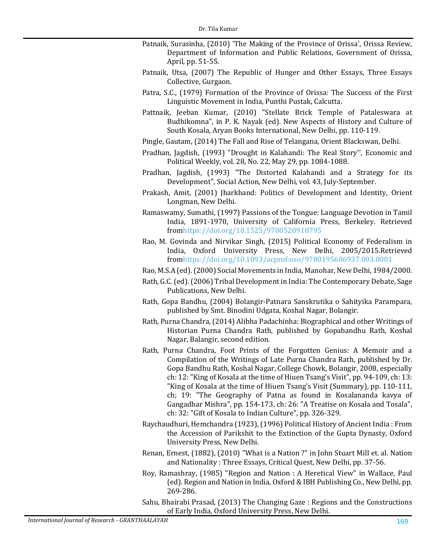- Patnaik, Surasinha, (2010) 'The Making of the Province of Orissa', Orissa Review, Department of Information and Public Relations, Government of Orissa, April, pp. 51-55.
- Patnaik, Utsa, (2007) The Republic of Hunger and Other Essays, Three Essays Collective, Gurgaon.
- Patra, S.C., (1979) Formation of the Province of Orissa: The Success of the First Linguistic Movement in India, Punthi Pustak, Calcutta.
- Pattnaik, Jeeban Kumar, (2010) "Stellate Brick Temple of Pataleswara at Budhikomna", in P. K. Nayak (ed). New Aspects of History and Culture of South Kosala, Aryan Books International, New Delhi, pp. 110-119.
- Pingle, Gautam, (2014) The Fall and Rise of Telangana, Orient Blackswan, Delhi.
- Pradhan, Jagdish, (1993) "Drought in Kalahandi: The Real Story'', Economic and Political Weekly, vol. 28, No. 22, May 29, pp. 1084-1088.
- Pradhan, Jagdish, (1993) "The Distorted Kalahandi and a Strategy for its Development", Social Action, New Delhi, vol. 43, July-September.
- Prakash, Amit, (2001) Jharkhand: Politics of Development and Identity, Orient Longman, New Delhi.
- Ramaswamy, Sumathi, (1997) Passions of the Tongue: Language Devotion in Tamil India, 1891-1970, University of California Press, Berkeley. Retrieved fro[mhttps://doi.org/10.1525/9780520918795](https://doi.org/10.1525/9780520918795)
- Rao, M. Govinda and Nirvikar Singh, (2015) Political Economy of Federalism in India, Oxford University Press, New Delhi, 2005/2015.Retrieved fro[mhttps://doi.org/10.1093/acprof:oso/9780195686937.003.0001](https://doi.org/10.1093/acprof:oso/9780195686937.003.0001)
- Rao, M.S.A (ed).(2000) Social Movements in India, Manohar, New Delhi, 1984/2000.
- Rath, G.C. (ed). (2006) Tribal Development in India: The Contemporary Debate, Sage Publications, New Delhi.
- Rath, Gopa Bandhu, (2004) Bolangir-Patnara Sanskrutika o Sahityika Parampara, published by Smt. Binodini Udgata, Koshal Nagar, Bolangir.
- Rath, Purna Chandra, (2014) Alibha Padachinha: Biographical and other Writings of Historian Purna Chandra Rath, published by Gopabandhu Rath, Koshal Nagar, Balangir, second edition.
- Rath, Purna Chandra, Foot Prints of the Forgotten Genius: A Memoir and a Compilation of the Writings of Late Purna Chandra Rath, published by Dr. Gopa Bandhu Rath, Koshal Nagar, College Chowk, Bolangir, 2008, especially ch: 12: "King of Kosala at the time of Hiuen Tsang's Visit", pp. 94-109, ch: 13: "King of Kosala at the time of Hiuen Tsang's Visit (Summary), pp. 110-111, ch; 19: "The Geography of Patna as found in Kosalananda kavya of Gangadhar Mishra", pp. 154-173, ch: 26: "A Treatise on Kosala and Tosala", ch: 32: "Gift of Kosala to Indian Culture", pp. 326-329.
- Raychaudhuri, Hemchandra (1923), (1996) Political History of Ancient India : From the Accession of Parikshit to the Extinction of the Gupta Dynasty, Oxford University Press, New Delhi.
- Renan, Ernest, (1882), (2010) "What is a Nation ?" in John Stuart Mill et. al. Nation and Nationality : Three Essays, Critical Quest, New Delhi, pp. 37-56.
- <span id="page-22-0"></span>Roy, Ramashray, (1985) "Region and Nation : A Heretical View" in Wallace, Paul (ed). Region and Nation in India, Oxford & IBH Publishing Co., New Delhi, pp. 269-286.
- Sahu, Bhairabi Prasad, (2013) The Changing Gaze : Regions and the Constructions of Early India, Oxford University Press, New Delhi.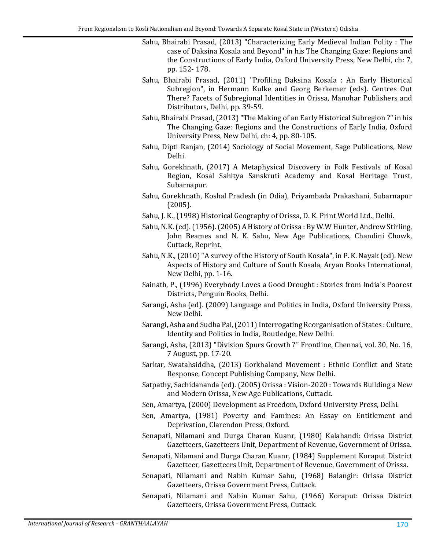- Sahu, Bhairabi Prasad, (2013) "Characterizing Early Medieval Indian Polity : The case of Daksina Kosala and Beyond" in his The Changing Gaze: Regions and the Constructions of Early India, Oxford University Press, New Delhi, ch: 7, pp. 152- 178.
- Sahu, Bhairabi Prasad, (2011) "Profiling Daksina Kosala : An Early Historical Subregion", in Hermann Kulke and Georg Berkemer (eds). Centres Out There? Facets of Subregional Identities in Orissa, Manohar Publishers and Distributors, Delhi, pp. 39-59.
- Sahu, Bhairabi Prasad, (2013) "The Making of an Early Historical Subregion ?" in his The Changing Gaze: Regions and the Constructions of Early India, Oxford University Press, New Delhi, ch: 4, pp. 80-105.
- Sahu, Dipti Ranjan, (2014) Sociology of Social Movement, Sage Publications, New Delhi.
- Sahu, Gorekhnath, (2017) A Metaphysical Discovery in Folk Festivals of Kosal Region, Kosal Sahitya Sanskruti Academy and Kosal Heritage Trust, Subarnapur.
- Sahu, Gorekhnath, Koshal Pradesh (in Odia), Priyambada Prakashani, Subarnapur (2005).
- Sahu, J. K., (1998) Historical Geography of Orissa, D. K. Print World Ltd., Delhi.
- Sahu, N.K. (ed). (1956).(2005) A History of Orissa : By W.W Hunter, Andrew Stirling, John Beames and N. K. Sahu, New Age Publications, Chandini Chowk, Cuttack, Reprint.
- Sahu, N.K., (2010)"A survey of the History of South Kosala", in P. K. Nayak (ed). New Aspects of History and Culture of South Kosala, Aryan Books International, New Delhi, pp. 1-16.
- Sainath, P., (1996) Everybody Loves a Good Drought : Stories from India's Poorest Districts, Penguin Books, Delhi.
- Sarangi, Asha (ed). (2009) Language and Politics in India, Oxford University Press, New Delhi.
- Sarangi, Asha and Sudha Pai, (2011) Interrogating Reorganisation of States : Culture, Identity and Politics in India, Routledge, New Delhi.
- Sarangi, Asha, (2013) "Division Spurs Growth ?'' Frontline, Chennai, vol. 30, No. 16, 7 August, pp. 17-20.
- Sarkar, Swatahsiddha, (2013) Gorkhaland Movement : Ethnic Conflict and State Response, Concept Publishing Company, New Delhi.
- Satpathy, Sachidananda (ed). (2005) Orissa : Vision-2020 : Towards Building a New and Modern Orissa, New Age Publications, Cuttack.
- Sen, Amartya, (2000) Development as Freedom, Oxford University Press, Delhi.
- Sen, Amartya, (1981) Poverty and Famines: An Essay on Entitlement and Deprivation, Clarendon Press, Oxford.
- Senapati, Nilamani and Durga Charan Kuanr, (1980) Kalahandi: Orissa District Gazetteers, Gazetteers Unit, Department of Revenue, Government of Orissa.
- Senapati, Nilamani and Durga Charan Kuanr, (1984) Supplement Koraput District Gazetteer, Gazetteers Unit, Department of Revenue, Government of Orissa.
- Senapati, Nilamani and Nabin Kumar Sahu, (1968) Balangir: Orissa District Gazetteers, Orissa Government Press, Cuttack.
- Senapati, Nilamani and Nabin Kumar Sahu, (1966) Koraput: Orissa District Gazetteers, Orissa Government Press, Cuttack.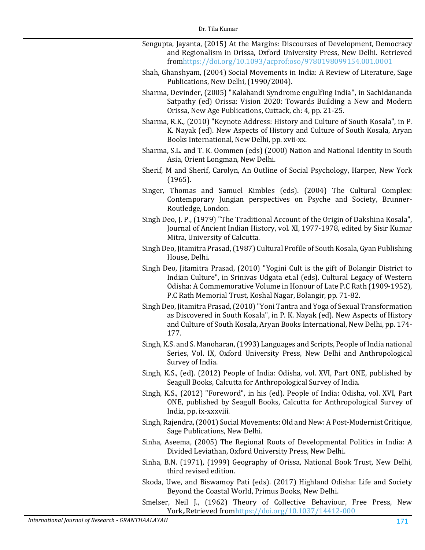- Sengupta, Jayanta, (2015) At the Margins: Discourses of Development, Democracy and Regionalism in Orissa, Oxford University Press, New Delhi. Retrieved fro[mhttps://doi.org/10.1093/acprof:oso/9780198099154.001.0001](https://doi.org/10.1093/acprof:oso/9780198099154.001.0001)
- Shah, Ghanshyam, (2004) Social Movements in India: A Review of Literature, Sage Publications, New Delhi, (1990/2004).
- Sharma, Devinder, (2005) "Kalahandi Syndrome engulfing India'', in Sachidananda Satpathy (ed) Orissa: Vision 2020: Towards Building a New and Modern Orissa, New Age Publications, Cuttack, ch: 4, pp. 21-25.
- Sharma, R.K., (2010) "Keynote Address: History and Culture of South Kosala", in P. K. Nayak (ed). New Aspects of History and Culture of South Kosala, Aryan Books International, New Delhi, pp. xvii-xx.
- Sharma, S.L. and T. K. Oommen (eds) (2000) Nation and National Identity in South Asia, Orient Longman, New Delhi.
- Sherif, M and Sherif, Carolyn, An Outline of Social Psychology, Harper, New York (1965).
- Singer, Thomas and Samuel Kimbles (eds). (2004) The Cultural Complex: Contemporary Jungian perspectives on Psyche and Society, Brunner-Routledge, London.
- Singh Deo, J. P., (1979) "The Traditional Account of the Origin of Dakshina Kosala", Journal of Ancient Indian History, vol. XI, 1977-1978, edited by Sisir Kumar Mitra, University of Calcutta.
- Singh Deo, Jitamitra Prasad,(1987) Cultural Profile of South Kosala, Gyan Publishing House, Delhi.
- Singh Deo, Jitamitra Prasad, (2010) "Yogini Cult is the gift of Bolangir District to Indian Culture", in Srinivas Udgata et.al (eds). Cultural Legacy of Western Odisha: A Commemorative Volume in Honour of Late P.C Rath (1909-1952), P.C Rath Memorial Trust, Koshal Nagar, Bolangir, pp. 71-82.
- Singh Deo, Jitamitra Prasad,(2010)"Yoni Tantra and Yoga of Sexual Transformation as Discovered in South Kosala", in P. K. Nayak (ed). New Aspects of History and Culture of South Kosala, Aryan Books International, New Delhi, pp. 174- 177.
- Singh, K.S. and S. Manoharan,(1993) Languages and Scripts, People of India national Series, Vol. IX, Oxford University Press, New Delhi and Anthropological Survey of India.
- Singh, K.S., (ed). (2012) People of India: Odisha, vol. XVI, Part ONE, published by Seagull Books, Calcutta for Anthropological Survey of India.
- Singh, K.S., (2012) "Foreword", in his (ed). People of India: Odisha, vol. XVI, Part ONE, published by Seagull Books, Calcutta for Anthropological Survey of India, pp. ix-xxxviii.
- Singh, Rajendra,(2001) Social Movements: Old and New: A Post-Modernist Critique, Sage Publications, New Delhi.
- Sinha, Aseema, (2005) The Regional Roots of Developmental Politics in India: A Divided Leviathan, Oxford University Press, New Delhi.
- Sinha, B.N. (1971), (1999) Geography of Orissa, National Book Trust, New Delhi, third revised edition.
- Skoda, Uwe, and Biswamoy Pati (eds). (2017) Highland Odisha: Life and Society Beyond the Coastal World, Primus Books, New Delhi.
- Smelser, Neil J., (1962) Theory of Collective Behaviour, Free Press, New York,.Retrieved fro[mhttps://doi.org/10.1037/14412-000](https://doi.org/10.1037/14412-000)